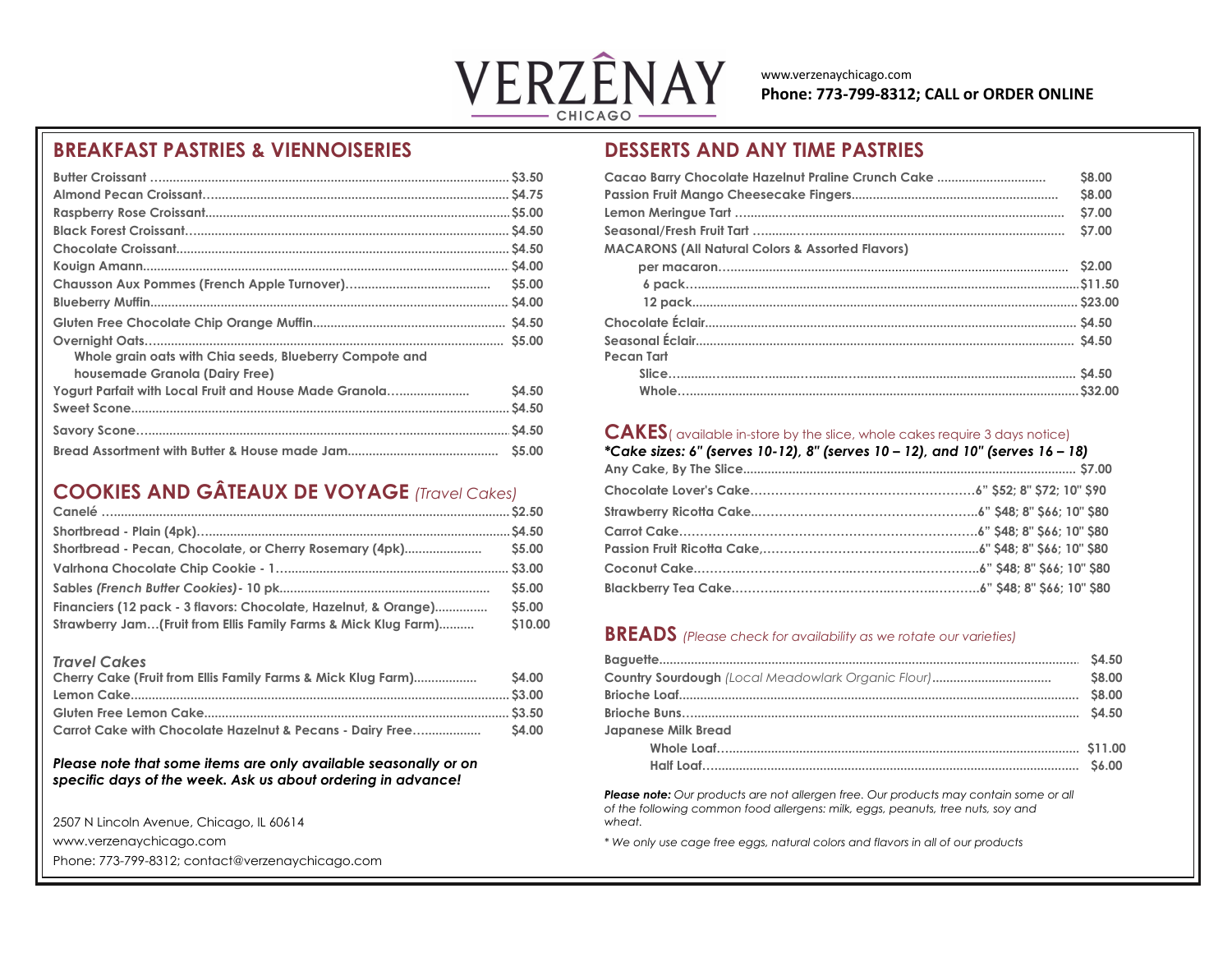

www.verzenaychicago.com **Phone: 773-799-8312; CALL or ORDER ONLINE**

# **BREAKFAST PASTRIES & VIENNOISERIES DESSERTS AND ANY TIME PASTRIES**

|                                                                                           |              | <b>Cacao Barry Chocolate Hazelnut Praline Crunch C</b>      |
|-------------------------------------------------------------------------------------------|--------------|-------------------------------------------------------------|
|                                                                                           |              | Passion Fruit Mango Cheesecake Fingers                      |
|                                                                                           |              |                                                             |
|                                                                                           |              |                                                             |
|                                                                                           |              | <b>MACARONS (All Natural Colors &amp; Assorted Flavors)</b> |
|                                                                                           |              |                                                             |
|                                                                                           | <b>S5.00</b> |                                                             |
|                                                                                           |              |                                                             |
|                                                                                           |              |                                                             |
| Whole grain oats with Chia seeds, Blueberry Compote and<br>housemade Granola (Dairy Free) |              | Pecan Tart                                                  |
| Yogurt Parfait with Local Fruit and House Made Granola                                    | \$4.50       |                                                             |
|                                                                                           |              |                                                             |
|                                                                                           |              | <b>CAKES</b> (available in-store by the slice, whole c      |
|                                                                                           |              | *Cake sizes: 6" (serves 10-12), 8" (serves 10 - 1           |

# **COOKIES AND GÂTEAUX DE VOYAGE** *(Travel Cakes)*

|                                                                 | <b>\$5.00</b> |
|-----------------------------------------------------------------|---------------|
| Financiers (12 pack - 3 flavors: Chocolate, Hazelnut, & Orange) | <b>S5.00</b>  |
| Strawberry Jam(Fruit from Ellis Family Farms & Mick Klug Farm)  | \$10.00       |

| Cherry Cake (Fruit from Ellis Family Farms & Mick Klug Farm) | <b>S4.00</b> | <b>Country Sourdough (</b> |
|--------------------------------------------------------------|--------------|----------------------------|
|                                                              |              | <b>Brioche Loaf</b>        |
|                                                              |              | Brioche Buns               |
| Carrot Cake with Chocolate Hazelnut & Pecans - Dairy Free    | <b>S4.00</b> | <b>Japanese Milk Bread</b> |

### *Please note that some items are only available seasonally or on specific days of the week. Ask us about ordering in advance!*

2507 N Lincoln Avenue, Chicago, IL 60614 *wheat.*

Phone: 773-799-8312; contact@verzenaychicago.com

|                                                         |       | Cacao Barry Chocolate Hazelnut Praline Crunch Cake          | \$8.00        |
|---------------------------------------------------------|-------|-------------------------------------------------------------|---------------|
|                                                         |       |                                                             | <b>\$8.00</b> |
|                                                         |       |                                                             | <b>S7.00</b>  |
|                                                         |       |                                                             | \$7.00        |
|                                                         |       | <b>MACARONS (All Natural Colors &amp; Assorted Flavors)</b> |               |
|                                                         |       |                                                             |               |
|                                                         |       |                                                             |               |
|                                                         |       |                                                             |               |
|                                                         |       |                                                             |               |
| Whole grain oats with Chia seeds, Blueberry Compote and |       | Pecan Tart                                                  |               |
| housemade Granola (Dairy Free)                          |       |                                                             |               |
| Yogurt Parfait with Local Fruit and House Made Granola  | S4.50 |                                                             |               |

## **CAKES** (available in-store by the slice, whole cakes require 3 days notice)

|                                                     | *Cake sizes: 6" (serves 10-12), 8" (serves 10 – 12), and 10" (serves 16 – 18) |
|-----------------------------------------------------|-------------------------------------------------------------------------------|
| <b>COOKIES AND GÂTEAUX DE VOYAGE</b> (Travel Cakes) |                                                                               |
|                                                     |                                                                               |
|                                                     |                                                                               |
|                                                     |                                                                               |
|                                                     |                                                                               |
|                                                     |                                                                               |
|                                                     |                                                                               |

# **BREADS** (Please check for availability as we rotate our varieties)

| Travel Cakes                                                    |        |                            |               |
|-----------------------------------------------------------------|--------|----------------------------|---------------|
| Cherry Cake (Fruit from Ellis Family Farms & Mick Klug Farm)    | \$4.00 |                            | <b>\$8.00</b> |
|                                                                 |        |                            | <b>S8.00</b>  |
|                                                                 |        |                            |               |
|                                                                 |        | <b>Japanese Milk Bread</b> |               |
|                                                                 |        |                            |               |
| Please note that some items are only available seasonally or on |        |                            |               |

*Please note: Our products are not allergen free. Our products may contain some or all of the following common food allergens: milk, eggs, peanuts, tree nuts, soy and* 

www.verzenaychicago.com *\* We only use cage free eggs, natural colors and flavors in all of our products*